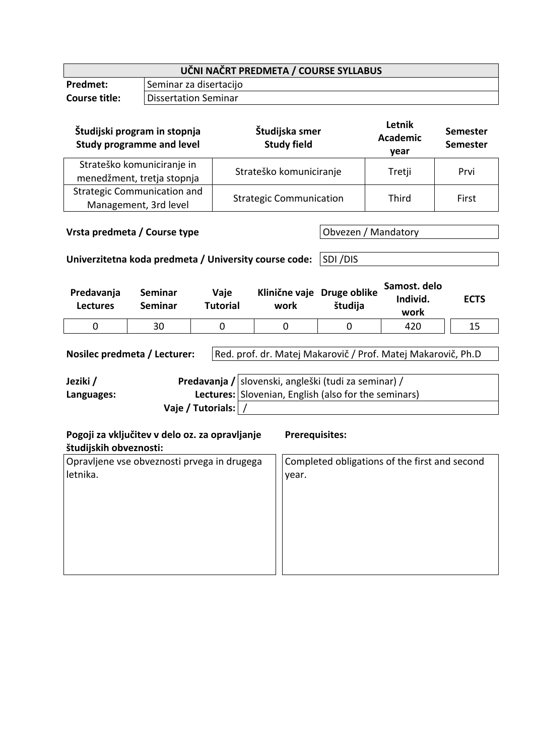| UČNI NAČRT PREDMETA / COURSE SYLLABUS |                        |  |
|---------------------------------------|------------------------|--|
| Predmet:                              | Seminar za disertacijo |  |
| Course title:                         | Dissertation Seminar   |  |

| Študijski program in stopnja<br><b>Study programme and level</b> | Študijska smer<br><b>Study field</b> | Letnik<br><b>Academic</b><br>year | <b>Semester</b><br><b>Semester</b> |
|------------------------------------------------------------------|--------------------------------------|-----------------------------------|------------------------------------|
| Strateško komuniciranje in<br>menedžment, tretja stopnja         | Strateško komuniciranje              | Tretji                            | Prvi                               |
| <b>Strategic Communication and</b><br>Management, 3rd level      | <b>Strategic Communication</b>       | Third                             | First                              |

**Vrsta predmeta / Course type Obvezen / Mandatory** 

**Univerzitetna koda predmeta / University course code:** SDI /DIS

| Klinične vaje Druge oblike<br>Vaje<br>Predavanja<br>Seminar<br>študija<br>Tutorial<br>Seminar<br><b>Lectures</b><br>work | Individ.<br>work | <b>ECTS</b> |
|--------------------------------------------------------------------------------------------------------------------------|------------------|-------------|
| 30                                                                                                                       | 420              |             |

Nosilec predmeta / Lecturer: Red. prof. dr. Matej Makarovič / Prof. Matej Makarovič, Ph.D

| Jeziki /   |                   | Predavanja / slovenski, angleški (tudi za seminar) /        |
|------------|-------------------|-------------------------------------------------------------|
| Languages: |                   | <b>Lectures:</b> Slovenian, English (also for the seminars) |
|            | Vaje / Tutorials: |                                                             |

| Pogoji za vključitev v delo oz. za opravljanje<br>študijskih obveznosti: | <b>Prerequisites:</b>                         |
|--------------------------------------------------------------------------|-----------------------------------------------|
| Opravljene vse obveznosti prvega in drugega<br>letnika.                  | Completed obligations of the first and second |
|                                                                          | year.                                         |
|                                                                          |                                               |
|                                                                          |                                               |
|                                                                          |                                               |
|                                                                          |                                               |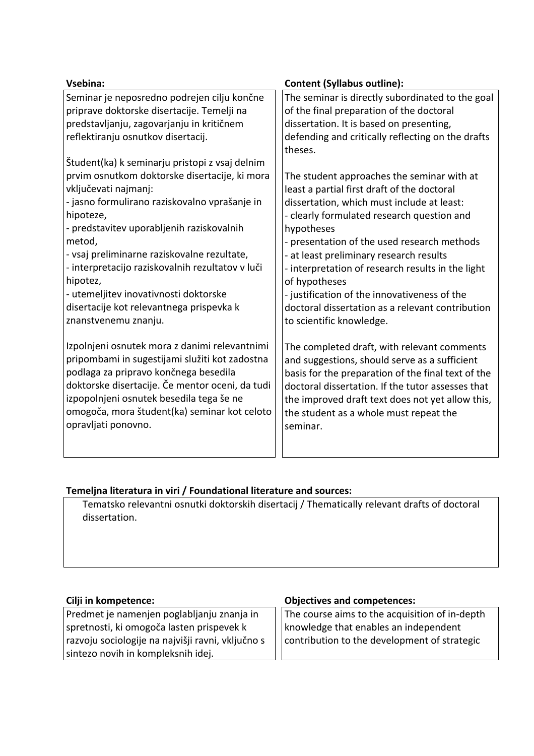| Vsebina:                                         | <b>Content (Syllabus outline):</b>                 |
|--------------------------------------------------|----------------------------------------------------|
| Seminar je neposredno podrejen cilju končne      | The seminar is directly subordinated to the goal   |
| priprave doktorske disertacije. Temelji na       | of the final preparation of the doctoral           |
| predstavljanju, zagovarjanju in kritičnem        | dissertation. It is based on presenting,           |
| reflektiranju osnutkov disertacij.               | defending and critically reflecting on the drafts  |
| Študent(ka) k seminarju pristopi z vsaj delnim   | theses.                                            |
| prvim osnutkom doktorske disertacije, ki mora    | The student approaches the seminar with at         |
| vključevati najmanj:                             | least a partial first draft of the doctoral        |
| - jasno formulirano raziskovalno vprašanje in    | dissertation, which must include at least:         |
| hipoteze,                                        | - clearly formulated research question and         |
| - predstavitev uporabljenih raziskovalnih        | hypotheses                                         |
| metod,                                           | - presentation of the used research methods        |
| - vsaj preliminarne raziskovalne rezultate,      | - at least preliminary research results            |
| - interpretacijo raziskovalnih rezultatov v luči | - interpretation of research results in the light  |
| hipotez,                                         | of hypotheses                                      |
| - utemeljitev inovativnosti doktorske            | - justification of the innovativeness of the       |
| disertacije kot relevantnega prispevka k         | doctoral dissertation as a relevant contribution   |
| znanstvenemu znanju.                             | to scientific knowledge.                           |
| Izpolnjeni osnutek mora z danimi relevantnimi    | The completed draft, with relevant comments        |
| pripombami in sugestijami služiti kot zadostna   | and suggestions, should serve as a sufficient      |
| podlaga za pripravo končnega besedila            | basis for the preparation of the final text of the |
| doktorske disertacije. Če mentor oceni, da tudi  | doctoral dissertation. If the tutor assesses that  |
| izpopolnjeni osnutek besedila tega še ne         | the improved draft text does not yet allow this,   |
| omogoča, mora študent(ka) seminar kot celoto     | the student as a whole must repeat the             |
| opravljati ponovno.                              | seminar.                                           |

# **Temeljna literatura in viri / Foundational literature and sources:**

Tematsko relevantni osnutki doktorskih disertacij / Thematically relevant drafts of doctoral dissertation.

Predmet je namenjen poglabljanju znanja in spretnosti, ki omogoča lasten prispevek k razvoju sociologije na najvišji ravni, vključno s sintezo novih in kompleksnih idej.

## **Cilji in kompetence: Objectives and competences:**

The course aims to the acquisition of in-depth knowledge that enables an independent contribution to the development of strategic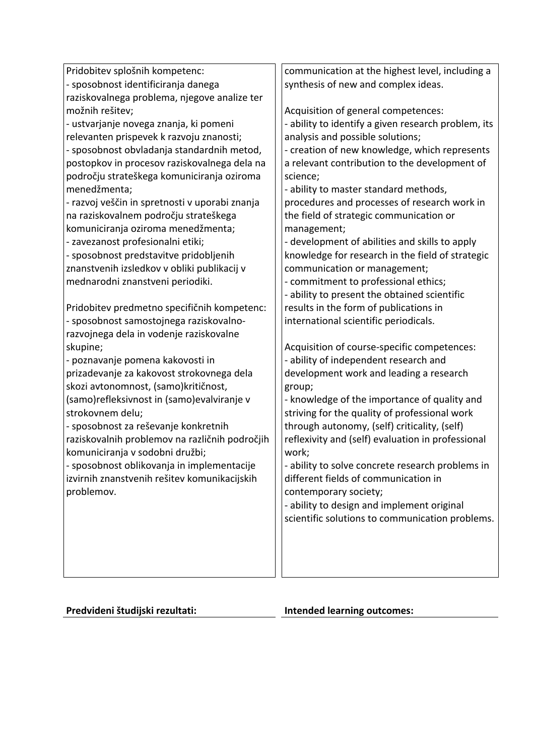| Pridobitev splošnih kompetenc:                 | communication at the highest level, including a                                               |
|------------------------------------------------|-----------------------------------------------------------------------------------------------|
| - sposobnost identificiranja danega            | synthesis of new and complex ideas.                                                           |
| raziskovalnega problema, njegove analize ter   |                                                                                               |
| možnih rešitev;                                | Acquisition of general competences:                                                           |
| - ustvarjanje novega znanja, ki pomeni         | - ability to identify a given research problem, its                                           |
| relevanten prispevek k razvoju znanosti;       | analysis and possible solutions;                                                              |
| - sposobnost obvladanja standardnih metod,     | - creation of new knowledge, which represents                                                 |
| postopkov in procesov raziskovalnega dela na   | a relevant contribution to the development of                                                 |
| področju strateškega komuniciranja oziroma     | science;                                                                                      |
| menedžmenta;                                   | - ability to master standard methods,                                                         |
| - razvoj veščin in spretnosti v uporabi znanja | procedures and processes of research work in                                                  |
| na raziskovalnem področju strateškega          | the field of strategic communication or                                                       |
| komuniciranja oziroma menedžmenta;             | management;                                                                                   |
| - zavezanost profesionalni etiki;              | - development of abilities and skills to apply                                                |
| - sposobnost predstavitve pridobljenih         | knowledge for research in the field of strategic                                              |
| znanstvenih izsledkov v obliki publikacij v    | communication or management;                                                                  |
| mednarodni znanstveni periodiki.               | - commitment to professional ethics;                                                          |
|                                                | - ability to present the obtained scientific                                                  |
| Pridobitev predmetno specifičnih kompetenc:    | results in the form of publications in                                                        |
| - sposobnost samostojnega raziskovalno-        | international scientific periodicals.                                                         |
| razvojnega dela in vodenje raziskovalne        |                                                                                               |
| skupine;                                       | Acquisition of course-specific competences:                                                   |
| - poznavanje pomena kakovosti in               | - ability of independent research and                                                         |
| prizadevanje za kakovost strokovnega dela      | development work and leading a research                                                       |
| skozi avtonomnost, (samo)kritičnost,           | group;                                                                                        |
| (samo)refleksivnost in (samo)evalviranje v     | - knowledge of the importance of quality and                                                  |
| strokovnem delu;                               | striving for the quality of professional work                                                 |
| - sposobnost za reševanje konkretnih           | through autonomy, (self) criticality, (self)                                                  |
| raziskovalnih problemov na različnih področjih | reflexivity and (self) evaluation in professional                                             |
| komuniciranja v sodobni družbi;                | work;                                                                                         |
| - sposobnost oblikovanja in implementacije     | - ability to solve concrete research problems in                                              |
| izvirnih znanstvenih rešitev komunikacijskih   | different fields of communication in                                                          |
| problemov.                                     | contemporary society;                                                                         |
|                                                | - ability to design and implement original<br>scientific solutions to communication problems. |
|                                                |                                                                                               |
|                                                |                                                                                               |
|                                                |                                                                                               |
|                                                |                                                                                               |
|                                                |                                                                                               |

# **Predvideni študijski rezultati: Intended learning outcomes:**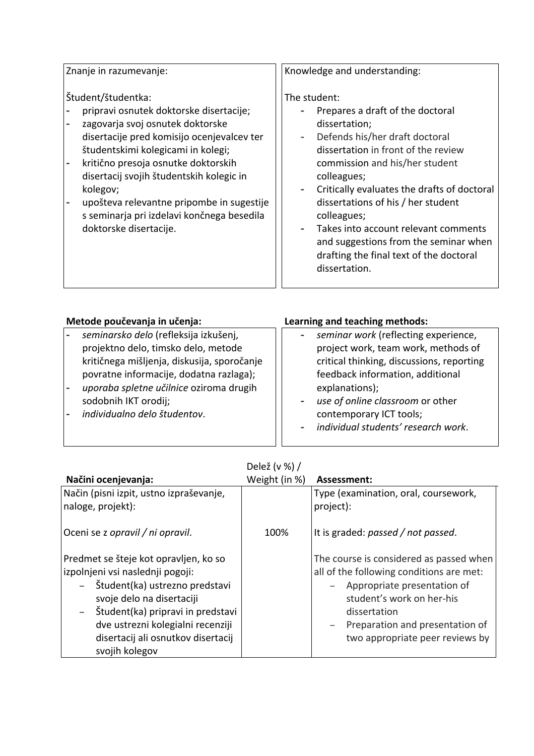Znanje in razumevanje:

Študent/študentka:

- pripravi osnutek doktorske disertacije;
- zagovarja svoj osnutek doktorske disertacije pred komisijo ocenjevalcev ter študentskimi kolegicami in kolegi;
- kritično presoja osnutke doktorskih disertacij svojih študentskih kolegic in kolegov;
- upošteva relevantne pripombe in sugestije s seminarja pri izdelavi končnega besedila doktorske disertacije.

Knowledge and understanding:

## The student:

- Prepares a draft of the doctoral dissertation;
- Defends his/her draft doctoral dissertation in front of the review commission and his/her student colleagues;
- Critically evaluates the drafts of doctoral dissertations of his / her student colleagues;
- Takes into account relevant comments and suggestions from the seminar when drafting the final text of the doctoral dissertation.

| Metode poučevanja in učenja:                                                                                                                                                                                                                                              | Learning and teaching methods:                                                                                                                                                                                                                                                                                       |
|---------------------------------------------------------------------------------------------------------------------------------------------------------------------------------------------------------------------------------------------------------------------------|----------------------------------------------------------------------------------------------------------------------------------------------------------------------------------------------------------------------------------------------------------------------------------------------------------------------|
| seminarsko delo (refleksija izkušenj,<br>projektno delo, timsko delo, metode<br>kritičnega mišljenja, diskusija, sporočanje<br>povratne informacije, dodatna razlaga);<br>uporaba spletne učilnice oziroma drugih<br>sodobnih IKT orodij;<br>individualno delo študentov. | seminar work (reflecting experience,<br>project work, team work, methods of<br>critical thinking, discussions, reporting<br>feedback information, additional<br>explanations);<br>use of online classroom or other<br>$\qquad \qquad \blacksquare$<br>contemporary ICT tools;<br>individual students' research work. |
|                                                                                                                                                                                                                                                                           |                                                                                                                                                                                                                                                                                                                      |

| Delež (v %) / |  |
|---------------|--|
|---------------|--|

| Načini ocenjevanja:                                    | Weight (in %) | Assessment:                              |
|--------------------------------------------------------|---------------|------------------------------------------|
| Način (pisni izpit, ustno izpraševanje,                |               | Type (examination, oral, coursework,     |
| naloge, projekt):                                      |               | project):                                |
|                                                        |               |                                          |
| Oceni se z opravil / ni opravil.                       | 100%          | It is graded: passed / not passed.       |
|                                                        |               |                                          |
| Predmet se šteje kot opravljen, ko so                  |               | The course is considered as passed when  |
| izpolnjeni vsi naslednji pogoji:                       |               | all of the following conditions are met: |
| Študent(ka) ustrezno predstavi<br>$-$                  |               | Appropriate presentation of              |
| svoje delo na disertaciji                              |               | student's work on her-his                |
| Študent(ka) pripravi in predstavi<br>$\qquad \qquad -$ |               | dissertation                             |
| dve ustrezni kolegialni recenziji                      |               | Preparation and presentation of          |
| disertacij ali osnutkov disertacij                     |               | two appropriate peer reviews by          |
| svojih kolegov                                         |               |                                          |